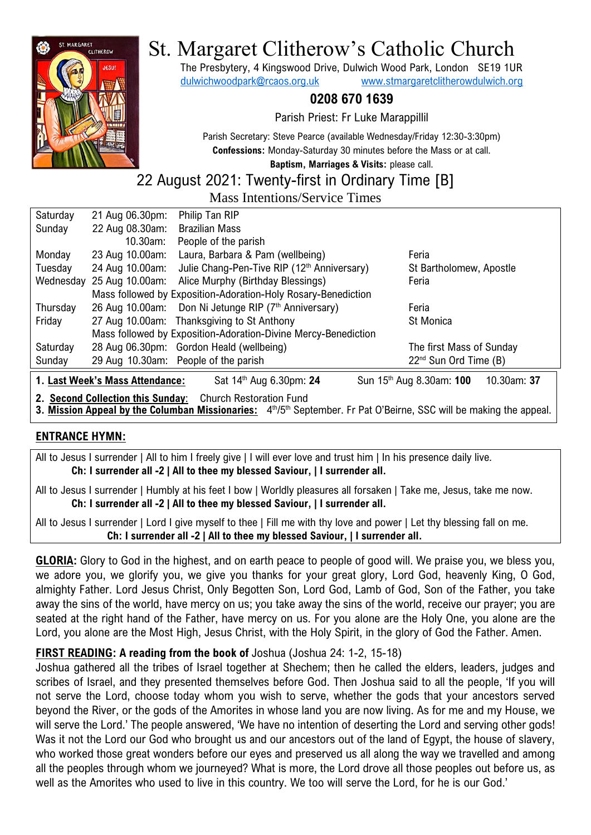

# St. Margaret Clitherow's Catholic Church

The Presbytery, 4 Kingswood Drive, Dulwich Wood Park, London SE19 1UR [dulwichwoodpark@rcaos.org.uk](mailto:dulwichwoodpark@rcaos.org.uk) [www.stmargaretclitherowdulwich.org](http://www.stmargaretclitherowdulwich.org/)

### **0208 670 1639**

Parish Priest: Fr Luke Marappillil

Parish Secretary: Steve Pearce (available Wednesday/Friday 12:30-3:30pm) **Confessions:** Monday-Saturday 30 minutes before the Mass or at call.

**Baptism, Marriages & Visits:** please call.

## 22 August 2021: Twenty-first in Ordinary Time [B]

Mass Intentions/Service Times

| Saturday                                                                                                          | 21 Aug 06.30pm: | Philip Tan RIP                                                 |                                   |
|-------------------------------------------------------------------------------------------------------------------|-----------------|----------------------------------------------------------------|-----------------------------------|
| Sunday                                                                                                            | 22 Aug 08.30am: | <b>Brazilian Mass</b>                                          |                                   |
|                                                                                                                   | 10.30am:        | People of the parish                                           |                                   |
|                                                                                                                   |                 |                                                                |                                   |
| Monday                                                                                                            | 23 Aug 10.00am: | Laura, Barbara & Pam (wellbeing)                               | Feria                             |
| Tuesday                                                                                                           | 24 Aug 10.00am: | Julie Chang-Pen-Tive RIP (12th Anniversary)                    | St Bartholomew, Apostle           |
| Wednesday                                                                                                         | 25 Aug 10.00am: | Alice Murphy (Birthday Blessings)                              | Feria                             |
| Mass followed by Exposition-Adoration-Holy Rosary-Benediction                                                     |                 |                                                                |                                   |
| Thursday                                                                                                          |                 | 26 Aug 10.00am: Don Ni Jetunge RIP (7th Anniversary)           | Feria                             |
| Friday                                                                                                            |                 | 27 Aug 10.00am: Thanksgiving to St Anthony                     | St Monica                         |
|                                                                                                                   |                 | Mass followed by Exposition-Adoration-Divine Mercy-Benediction |                                   |
| Saturday                                                                                                          |                 | 28 Aug 06.30pm: Gordon Heald (wellbeing)                       | The first Mass of Sunday          |
| Sunday                                                                                                            |                 | 29 Aug 10.30am: People of the parish                           | 22 <sup>nd</sup> Sun Ord Time (B) |
| Sun 15 <sup>th</sup> Aug 8.30am: 100<br>1. Last Week's Mass Attendance:<br>Sat 14th Aug 6.30pm: 24<br>10.30am: 37 |                 |                                                                |                                   |
| 0. Canand Callantino this Condam - Ohimah Dantanatino Fund                                                        |                 |                                                                |                                   |

**2. Second Collection this Sunday**: Church Restoration Fund

3. Mission Appeal by the Columban Missionaries: 4<sup>th</sup>/5<sup>th</sup> September. Fr Pat O'Beirne, SSC will be making the appeal.

#### **ENTRANCE HYMN:**

All to Jesus I surrender | All to him I freely give | I will ever love and trust him | In his presence daily live. **Ch: I surrender all -2 | All to thee my blessed Saviour, | I surrender all.**

All to Jesus I surrender | Humbly at his feet I bow | Worldly pleasures all forsaken | Take me, Jesus, take me now. **Ch: I surrender all -2 | All to thee my blessed Saviour, | I surrender all.**

All to Jesus I surrender | Lord I give myself to thee | Fill me with thy love and power | Let thy blessing fall on me. **Ch: I surrender all -2 | All to thee my blessed Saviour, | I surrender all.**

**GLORIA:** Glory to God in the highest, and on earth peace to people of good will. We praise you, we bless you, we adore you, we glorify you, we give you thanks for your great glory, Lord God, heavenly King, O God, almighty Father. Lord Jesus Christ, Only Begotten Son, Lord God, Lamb of God, Son of the Father, you take away the sins of the world, have mercy on us; you take away the sins of the world, receive our prayer; you are seated at the right hand of the Father, have mercy on us. For you alone are the Holy One, you alone are the Lord, you alone are the Most High, Jesus Christ, with the Holy Spirit, in the glory of God the Father. Amen.

### **FIRST READING: A reading from the book of** Joshua (Joshua 24: 1-2, 15-18)

Joshua gathered all the tribes of Israel together at Shechem; then he called the elders, leaders, judges and scribes of Israel, and they presented themselves before God. Then Joshua said to all the people, 'If you will not serve the Lord, choose today whom you wish to serve, whether the gods that your ancestors served beyond the River, or the gods of the Amorites in whose land you are now living. As for me and my House, we will serve the Lord.' The people answered, 'We have no intention of deserting the Lord and serving other gods! Was it not the Lord our God who brought us and our ancestors out of the land of Egypt, the house of slavery, who worked those great wonders before our eyes and preserved us all along the way we travelled and among all the peoples through whom we journeyed? What is more, the Lord drove all those peoples out before us, as well as the Amorites who used to live in this country. We too will serve the Lord, for he is our God.'